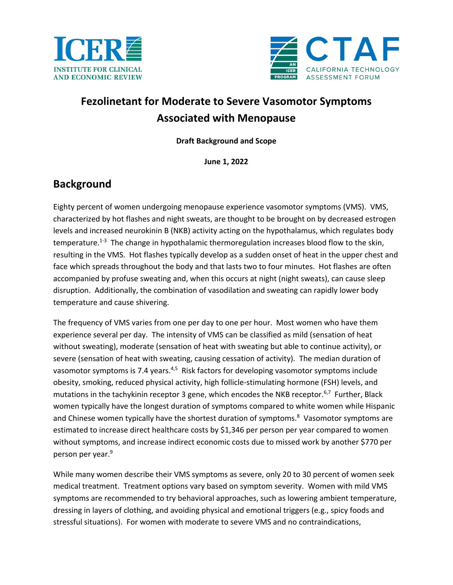



# **Fezolinetant for Moderate to Severe Vasomotor Symptoms Associated with Menopause**

**Draft Background and Scope**

**June 1, 2022**

## **Background**

Eighty percent of women undergoing menopause experience vasomotor symptoms (VMS). VMS, characterized by hot flashes and night sweats, are thought to be brought on by decreased estrogen levels and increased neurokinin B (NKB) activity acting on the hypothalamus, which regulates body temperature.<sup>1-3</sup> The change in hypothalamic thermoregulation increases blood flow to the skin, resulting in the VMS. Hot flashes typically develop as a sudden onset of heat in the upper chest and face which spreads throughout the body and that lasts two to four minutes. Hot flashes are often accompanied by profuse sweating and, when this occurs at night (night sweats), can cause sleep disruption. Additionally, the combination of vasodilation and sweating can rapidly lower body temperature and cause shivering.

The frequency of VMS varies from one per day to one per hour. Most women who have them experience several per day. The intensity of VMS can be classified as mild (sensation of heat without sweating), moderate (sensation of heat with sweating but able to continue activity), or severe (sensation of heat with sweating, causing cessation of activity). The median duration of vasomotor symptoms is 7.4 years.<sup>[4,](#page-8-1)[5](#page-8-2)</sup> Risk factors for developing vasomotor symptoms include obesity, smoking, reduced physical activity, high follicle-stimulating hormone (FSH) levels, and mutations in the tachykinin receptor 3 gene, which encodes the NKB receptor.<sup>[6,](#page-8-3)[7](#page-8-4)</sup> Further, Black women typically have the longest duration of symptoms compared to white women while Hispanic and Chinese women typically have the shortest duration of symptoms.<sup>8</sup> Vasomotor symptoms are estimated to increase direct healthcare costs by \$1,346 per person per year compared to women without symptoms, and increase indirect economic costs due to missed work by another \$770 per person per year.<sup>9</sup>

While many women describe their VMS symptoms as severe, only 20 to 30 percent of women seek medical treatment. Treatment options vary based on symptom severity. Women with mild VMS symptoms are recommended to try behavioral approaches, such as lowering ambient temperature, dressing in layers of clothing, and avoiding physical and emotional triggers (e.g., spicy foods and stressful situations). For women with moderate to severe VMS and no contraindications,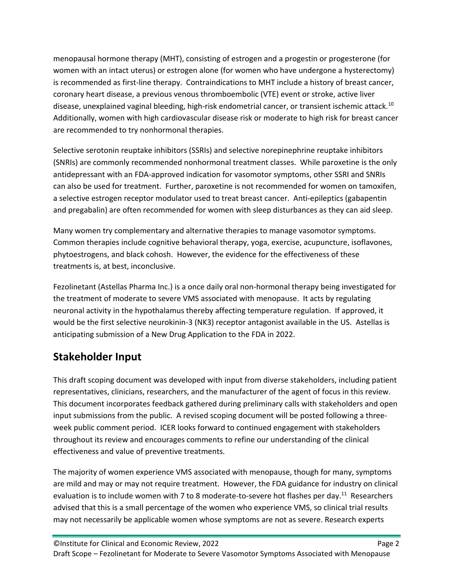menopausal hormone therapy (MHT), consisting of estrogen and a progestin or progesterone (for women with an intact uterus) or estrogen alone (for women who have undergone a hysterectomy) is recommended as first-line therapy. Contraindications to MHT include a history of breast cancer, coronary heart disease, a previous venous thromboembolic (VTE) event or stroke, active liver disease, unexplained vaginal bleeding, high-risk endometrial cancer, or transient ischemic attack.<sup>10</sup> Additionally, women with high cardiovascular disease risk or moderate to high risk for breast cancer are recommended to try nonhormonal therapies.

Selective serotonin reuptake inhibitors (SSRIs) and selective norepinephrine reuptake inhibitors (SNRIs) are commonly recommended nonhormonal treatment classes. While paroxetine is the only antidepressant with an FDA-approved indication for vasomotor symptoms, other SSRI and SNRIs can also be used for treatment. Further, paroxetine is not recommended for women on tamoxifen, a selective estrogen receptor modulator used to treat breast cancer. Anti-epileptics (gabapentin and pregabalin) are often recommended for women with sleep disturbances as they can aid sleep.

Many women try complementary and alternative therapies to manage vasomotor symptoms. Common therapies include cognitive behavioral therapy, yoga, exercise, acupuncture, isoflavones, phytoestrogens, and black cohosh. However, the evidence for the effectiveness of these treatments is, at best, inconclusive.

Fezolinetant (Astellas Pharma Inc.) is a once daily oral non-hormonal therapy being investigated for the treatment of moderate to severe VMS associated with menopause. It acts by regulating neuronal activity in the hypothalamus thereby affecting temperature regulation. If approved, it would be the first selective neurokinin-3 (NK3) receptor antagonist available in the US. Astellas is anticipating submission of a New Drug Application to the FDA in 2022.

## **Stakeholder Input**

This draft scoping document was developed with input from diverse stakeholders, including patient representatives, clinicians, researchers, and the manufacturer of the agent of focus in this review. This document incorporates feedback gathered during preliminary calls with stakeholders and open input submissions from the public. A revised scoping document will be posted following a threeweek public comment period. ICER looks forward to continued engagement with stakeholders throughout its review and encourages comments to refine our understanding of the clinical effectiveness and value of preventive treatments.

The majority of women experience VMS associated with menopause, though for many, symptoms are mild and may or may not require treatment. However, the FDA guidance for industry on clinical evaluation is to include women with 7 to 8 moderate-to-severe hot flashes per day.<sup>[11](#page-8-8)</sup> Researchers advised that this is a small percentage of the women who experience VMS, so clinical trial results may not necessarily be applicable women whose symptoms are not as severe. Research experts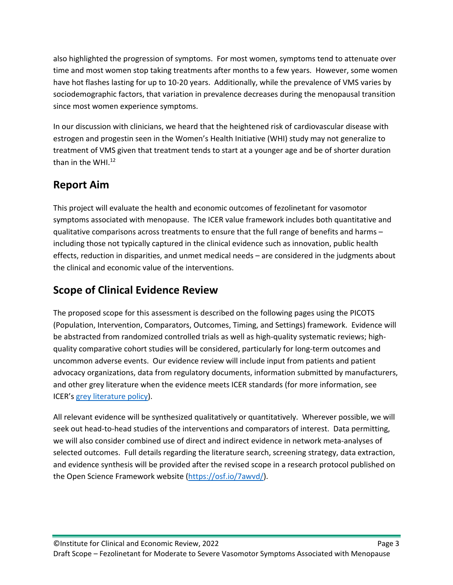also highlighted the progression of symptoms. For most women, symptoms tend to attenuate over time and most women stop taking treatments after months to a few years. However, some women have hot flashes lasting for up to 10-20 years. Additionally, while the prevalence of VMS varies by sociodemographic factors, that variation in prevalence decreases during the menopausal transition since most women experience symptoms.

In our discussion with clinicians, we heard that the heightened risk of cardiovascular disease with estrogen and progestin seen in the Women's Health Initiative (WHI) study may not generalize to treatment of VMS given that treatment tends to start at a younger age and be of shorter duration than in the WHI[.12](#page-8-9)

## **Report Aim**

This project will evaluate the health and economic outcomes of fezolinetant for vasomotor symptoms associated with menopause. The ICER value framework includes both quantitative and qualitative comparisons across treatments to ensure that the full range of benefits and harms – including those not typically captured in the clinical evidence such as innovation, public health effects, reduction in disparities, and unmet medical needs – are considered in the judgments about the clinical and economic value of the interventions.

## **Scope of Clinical Evidence Review**

The proposed scope for this assessment is described on the following pages using the PICOTS (Population, Intervention, Comparators, Outcomes, Timing, and Settings) framework. Evidence will be abstracted from randomized controlled trials as well as high-quality systematic reviews; highquality comparative cohort studies will be considered, particularly for long-term outcomes and uncommon adverse events. Our evidence review will include input from patients and patient advocacy organizations, data from regulatory documents, information submitted by manufacturers, and other grey literature when the evidence meets ICER standards (for more information, see ICER's [grey literature policy\)](https://icer.org/policy-on-inclusion-of-grey-literature-in-evidence-reviews/).

All relevant evidence will be synthesized qualitatively or quantitatively. Wherever possible, we will seek out head-to-head studies of the interventions and comparators of interest. Data permitting, we will also consider combined use of direct and indirect evidence in network meta-analyses of selected outcomes. Full details regarding the literature search, screening strategy, data extraction, and evidence synthesis will be provided after the revised scope in a research protocol published on the Open Science Framework website [\(https://osf.io/7awvd/\)](https://osf.io/7awvd/).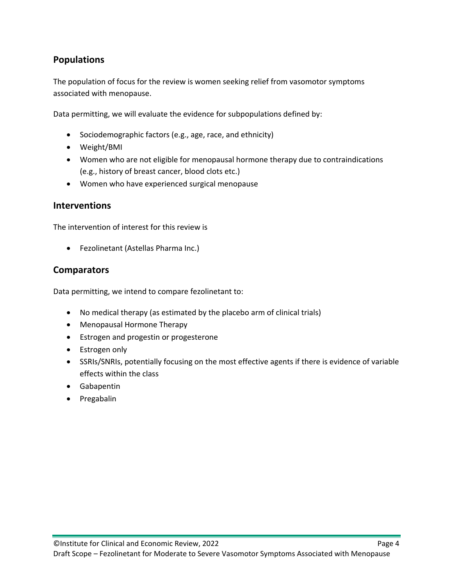## **Populations**

The population of focus for the review is women seeking relief from vasomotor symptoms associated with menopause.

Data permitting, we will evaluate the evidence for subpopulations defined by:

- Sociodemographic factors (e.g., age, race, and ethnicity)
- Weight/BMI
- Women who are not eligible for menopausal hormone therapy due to contraindications (e.g., history of breast cancer, blood clots etc.)
- Women who have experienced surgical menopause

#### **Interventions**

The intervention of interest for this review is

• Fezolinetant (Astellas Pharma Inc.)

#### **Comparators**

Data permitting, we intend to compare fezolinetant to:

- No medical therapy (as estimated by the placebo arm of clinical trials)
- Menopausal Hormone Therapy
- Estrogen and progestin or progesterone
- Estrogen only
- SSRIs/SNRIs, potentially focusing on the most effective agents if there is evidence of variable effects within the class
- Gabapentin
- Pregabalin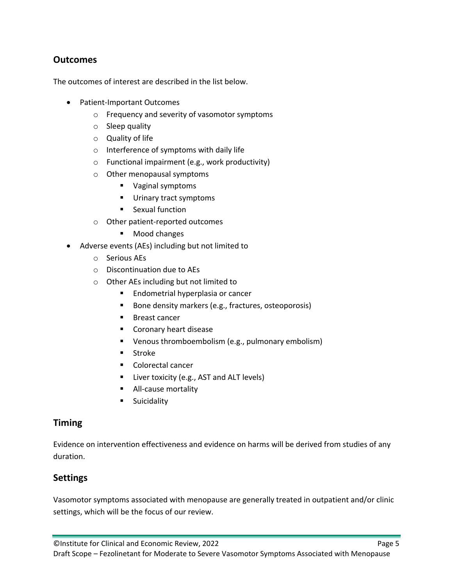## **Outcomes**

The outcomes of interest are described in the list below.

- Patient-Important Outcomes
	- o Frequency and severity of vasomotor symptoms
	- o Sleep quality
	- o Quality of life
	- o Interference of symptoms with daily life
	- o Functional impairment (e.g., work productivity)
	- o Other menopausal symptoms
		- Vaginal symptoms
		- **Urinary tract symptoms**
		- **Sexual function**
	- o Other patient-reported outcomes
		- **Mood changes**
- Adverse events (AEs) including but not limited to
	- o Serious AEs
	- o Discontinuation due to AEs
	- o Other AEs including but not limited to
		- **Endometrial hyperplasia or cancer**
		- Bone density markers (e.g., fractures, osteoporosis)
		- **Breast cancer**
		- **Coronary heart disease**
		- Venous thromboembolism (e.g., pulmonary embolism)
		- **Stroke**
		- Colorectal cancer
		- **E** Liver toxicity (e.g., AST and ALT levels)
		- **All-cause mortality**
		- **Suicidality**

#### **Timing**

Evidence on intervention effectiveness and evidence on harms will be derived from studies of any duration.

#### **Settings**

Vasomotor symptoms associated with menopause are generally treated in outpatient and/or clinic settings, which will be the focus of our review.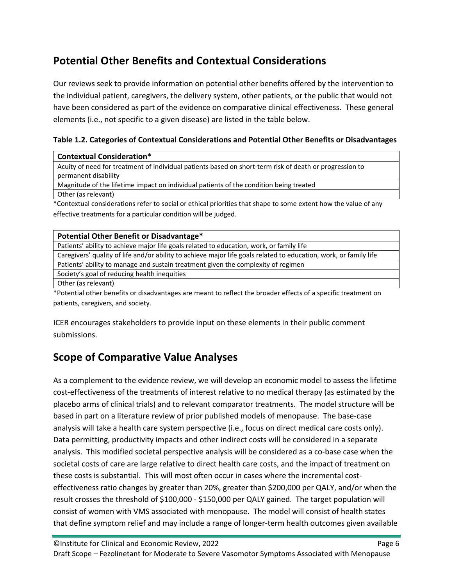## **Potential Other Benefits and Contextual Considerations**

Our reviews seek to provide information on potential other benefits offered by the intervention to the individual patient, caregivers, the delivery system, other patients, or the public that would not have been considered as part of the evidence on comparative clinical effectiveness. These general elements (i.e., not specific to a given disease) are listed in the table below.

**Table 1.2. Categories of Contextual Considerations and Potential Other Benefits or Disadvantages**

| <b>Contextual Consideration*</b>                                                                        |
|---------------------------------------------------------------------------------------------------------|
| Acuity of need for treatment of individual patients based on short-term risk of death or progression to |
| permanent disability                                                                                    |
| Magnitude of the lifetime impact on individual patients of the condition being treated                  |

Other (as relevant)

\*Contextual considerations refer to social or ethical priorities that shape to some extent how the value of any effective treatments for a particular condition will be judged.

| Potential Other Benefit or Disadvantage*                                                                          |
|-------------------------------------------------------------------------------------------------------------------|
| Patients' ability to achieve major life goals related to education, work, or family life                          |
| Caregivers' quality of life and/or ability to achieve major life goals related to education, work, or family life |
| Patients' ability to manage and sustain treatment given the complexity of regimen                                 |
| Society's goal of reducing health inequities                                                                      |
| Other (as relevant)                                                                                               |
| *Potential other benefits or disadvantages are meant to reflect the broader effects of a specific treatment on    |

patients, caregivers, and society.

ICER encourages stakeholders to provide input on these elements in their public comment submissions.

# **Scope of Comparative Value Analyses**

As a complement to the evidence review, we will develop an economic model to assess the lifetime cost-effectiveness of the treatments of interest relative to no medical therapy (as estimated by the placebo arms of clinical trials) and to relevant comparator treatments. The model structure will be based in part on a literature review of prior published models of menopause. The base-case analysis will take a health care system perspective (i.e., focus on direct medical care costs only). Data permitting, productivity impacts and other indirect costs will be considered in a separate analysis. This modified societal perspective analysis will be considered as a co-base case when the societal costs of care are large relative to direct health care costs, and the impact of treatment on these costs is substantial. This will most often occur in cases where the incremental costeffectiveness ratio changes by greater than 20%, greater than \$200,000 per QALY, and/or when the result crosses the threshold of \$100,000 - \$150,000 per QALY gained. The target population will consist of women with VMS associated with menopause. The model will consist of health states that define symptom relief and may include a range of longer-term health outcomes given available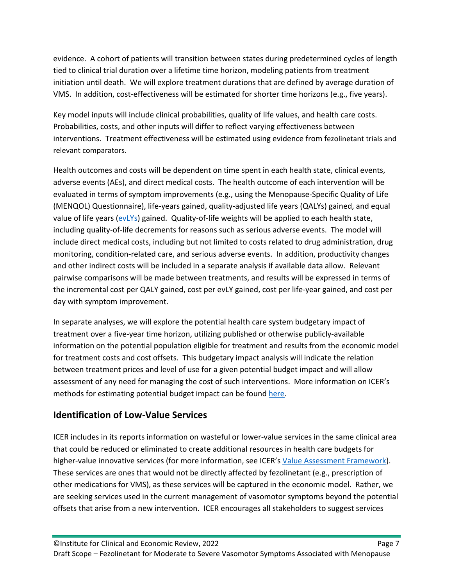evidence. A cohort of patients will transition between states during predetermined cycles of length tied to clinical trial duration over a lifetime time horizon, modeling patients from treatment initiation until death. We will explore treatment durations that are defined by average duration of VMS. In addition, cost-effectiveness will be estimated for shorter time horizons (e.g., five years).

Key model inputs will include clinical probabilities, quality of life values, and health care costs. Probabilities, costs, and other inputs will differ to reflect varying effectiveness between interventions. Treatment effectiveness will be estimated using evidence from fezolinetant trials and relevant comparators.

Health outcomes and costs will be dependent on time spent in each health state, clinical events, adverse events (AEs), and direct medical costs. The health outcome of each intervention will be evaluated in terms of symptom improvements (e.g., using the Menopause-Specific Quality of Life (MENQOL) Questionnaire), life-years gained, quality-adjusted life years (QALYs) gained, and equal value of life years [\(evLYs\)](https://icer.org/our-approach/methods-process/cost-effectiveness-the-qaly-and-the-evlyg/) gained. Quality-of-life weights will be applied to each health state, including quality-of-life decrements for reasons such as serious adverse events. The model will include direct medical costs, including but not limited to costs related to drug administration, drug monitoring, condition-related care, and serious adverse events. In addition, productivity changes and other indirect costs will be included in a separate analysis if available data allow. Relevant pairwise comparisons will be made between treatments, and results will be expressed in terms of the incremental cost per QALY gained, cost per evLY gained, cost per life-year gained, and cost per day with symptom improvement.

In separate analyses, we will explore the potential health care system budgetary impact of treatment over a five-year time horizon, utilizing published or otherwise publicly-available information on the potential population eligible for treatment and results from the economic model for treatment costs and cost offsets. This budgetary impact analysis will indicate the relation between treatment prices and level of use for a given potential budget impact and will allow assessment of any need for managing the cost of such interventions. More information on ICER's methods for estimating potential budget impact can be found [here.](https://icer.org/wp-content/uploads/2021/03/ICER_2020_2023_VAF_013120-4-2.pdf)

## **Identification of Low-Value Services**

ICER includes in its reports information on wasteful or lower-value services in the same clinical area that could be reduced or eliminated to create additional resources in health care budgets for higher-value innovative services (for more information, see ICER's [Value Assessment Framework\)](https://icer.org/wp-content/uploads/2021/03/ICER_2020_2023_VAF_013120-4-2.pdf). These services are ones that would not be directly affected by fezolinetant (e.g., prescription of other medications for VMS), as these services will be captured in the economic model. Rather, we are seeking services used in the current management of vasomotor symptoms beyond the potential offsets that arise from a new intervention. ICER encourages all stakeholders to suggest services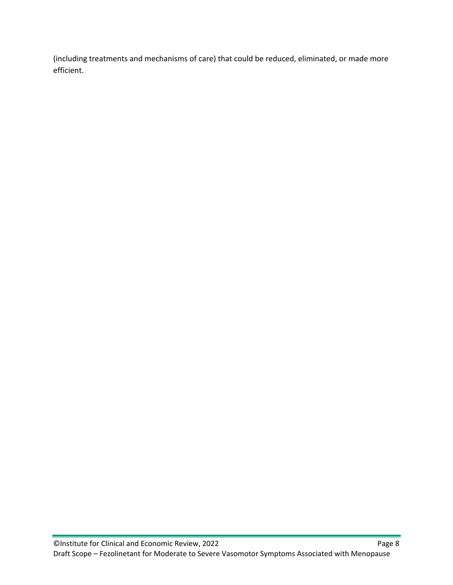(including treatments and mechanisms of care) that could be reduced, eliminated, or made more efficient.